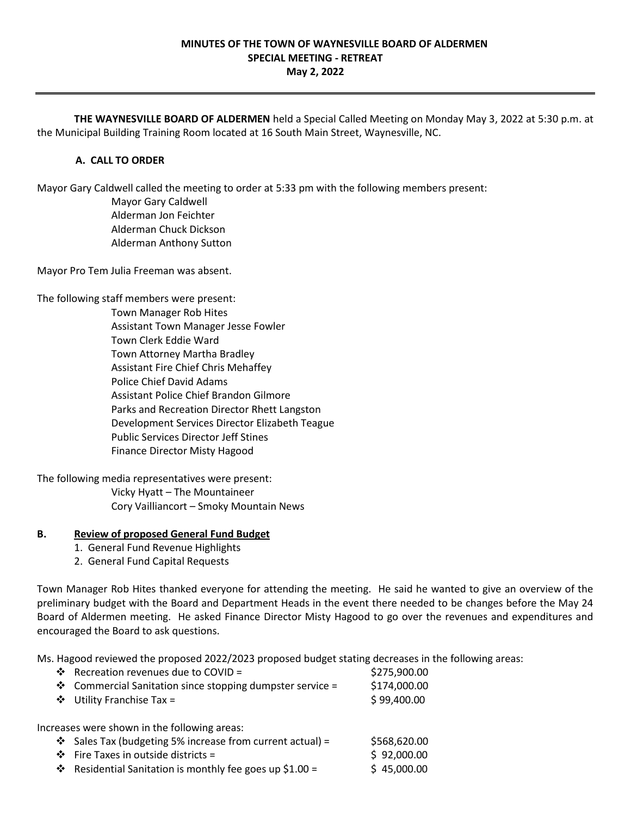# **MINUTES OF THE TOWN OF WAYNESVILLE BOARD OF ALDERMEN SPECIAL MEETING - RETREAT**

**May 2, 2022**

**THE WAYNESVILLE BOARD OF ALDERMEN** held a Special Called Meeting on Monday May 3, 2022 at 5:30 p.m. at the Municipal Building Training Room located at 16 South Main Street, Waynesville, NC.

# **A. CALL TO ORDER**

Mayor Gary Caldwell called the meeting to order at 5:33 pm with the following members present:

Mayor Gary Caldwell Alderman Jon Feichter Alderman Chuck Dickson Alderman Anthony Sutton

Mayor Pro Tem Julia Freeman was absent.

The following staff members were present:

Town Manager Rob Hites Assistant Town Manager Jesse Fowler Town Clerk Eddie Ward Town Attorney Martha Bradley Assistant Fire Chief Chris Mehaffey Police Chief David Adams Assistant Police Chief Brandon Gilmore Parks and Recreation Director Rhett Langston Development Services Director Elizabeth Teague Public Services Director Jeff Stines Finance Director Misty Hagood

The following media representatives were present:

Vicky Hyatt – The Mountaineer Cory Vailliancort – Smoky Mountain News

# **B. Review of proposed General Fund Budget**

- 1. General Fund Revenue Highlights
- 2. General Fund Capital Requests

Town Manager Rob Hites thanked everyone for attending the meeting. He said he wanted to give an overview of the preliminary budget with the Board and Department Heads in the event there needed to be changes before the May 24 Board of Aldermen meeting. He asked Finance Director Misty Hagood to go over the revenues and expenditures and encouraged the Board to ask questions.

Ms. Hagood reviewed the proposed 2022/2023 proposed budget stating decreases in the following areas:

| ❖ Recreation revenues due to COVID =                      | \$275,900.00 |
|-----------------------------------------------------------|--------------|
| ❖ Commercial Sanitation since stopping dumpster service = | \$174,000.00 |
| $\div$ Utility Franchise Tax =                            | \$99,400.00  |
|                                                           |              |
|                                                           |              |
| Increases were shown in the following areas:              |              |
| ❖ Sales Tax (budgeting 5% increase from current actual) = | \$568,620.00 |

**❖** Residential Sanitation is monthly fee goes up \$1.00 =  $\qquad$  \$45,000.00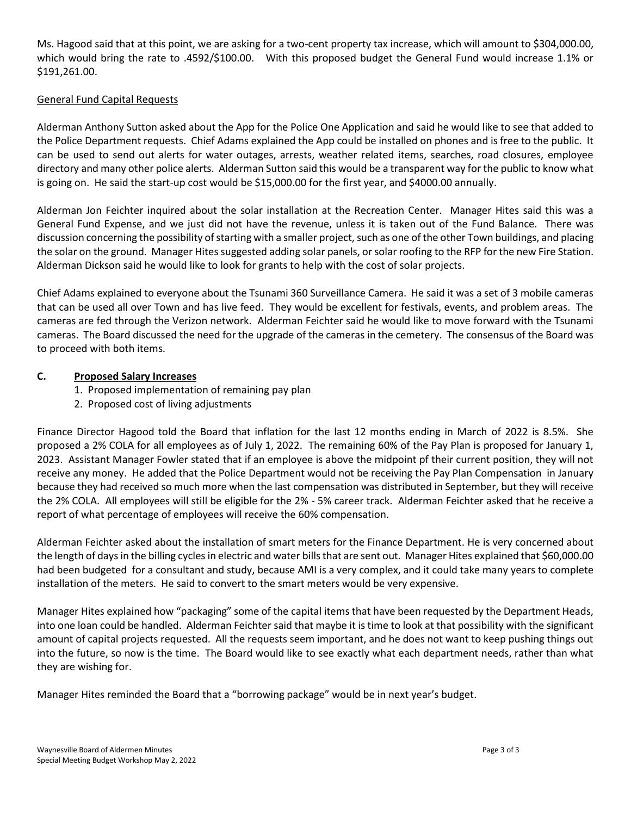Ms. Hagood said that at this point, we are asking for a two-cent property tax increase, which will amount to \$304,000.00, which would bring the rate to .4592/\$100.00. With this proposed budget the General Fund would increase 1.1% or \$191,261.00.

# General Fund Capital Requests

Alderman Anthony Sutton asked about the App for the Police One Application and said he would like to see that added to the Police Department requests. Chief Adams explained the App could be installed on phones and is free to the public. It can be used to send out alerts for water outages, arrests, weather related items, searches, road closures, employee directory and many other police alerts. Alderman Sutton said this would be a transparent way for the public to know what is going on. He said the start-up cost would be \$15,000.00 for the first year, and \$4000.00 annually.

Alderman Jon Feichter inquired about the solar installation at the Recreation Center. Manager Hites said this was a General Fund Expense, and we just did not have the revenue, unless it is taken out of the Fund Balance. There was discussion concerning the possibility of starting with a smaller project, such as one of the other Town buildings, and placing the solar on the ground. Manager Hites suggested adding solar panels, or solar roofing to the RFP for the new Fire Station. Alderman Dickson said he would like to look for grants to help with the cost of solar projects.

Chief Adams explained to everyone about the Tsunami 360 Surveillance Camera. He said it was a set of 3 mobile cameras that can be used all over Town and has live feed. They would be excellent for festivals, events, and problem areas. The cameras are fed through the Verizon network. Alderman Feichter said he would like to move forward with the Tsunami cameras. The Board discussed the need for the upgrade of the cameras in the cemetery. The consensus of the Board was to proceed with both items.

# **C. Proposed Salary Increases**

- 1. Proposed implementation of remaining pay plan
- 2. Proposed cost of living adjustments

Finance Director Hagood told the Board that inflation for the last 12 months ending in March of 2022 is 8.5%. She proposed a 2% COLA for all employees as of July 1, 2022. The remaining 60% of the Pay Plan is proposed for January 1, 2023. Assistant Manager Fowler stated that if an employee is above the midpoint pf their current position, they will not receive any money. He added that the Police Department would not be receiving the Pay Plan Compensation in January because they had received so much more when the last compensation was distributed in September, but they will receive the 2% COLA. All employees will still be eligible for the 2% - 5% career track. Alderman Feichter asked that he receive a report of what percentage of employees will receive the 60% compensation.

Alderman Feichter asked about the installation of smart meters for the Finance Department. He is very concerned about the length of days in the billing cycles in electric and water bills that are sent out. Manager Hites explained that \$60,000.00 had been budgeted for a consultant and study, because AMI is a very complex, and it could take many years to complete installation of the meters. He said to convert to the smart meters would be very expensive.

Manager Hites explained how "packaging" some of the capital items that have been requested by the Department Heads, into one loan could be handled. Alderman Feichter said that maybe it is time to look at that possibility with the significant amount of capital projects requested. All the requests seem important, and he does not want to keep pushing things out into the future, so now is the time. The Board would like to see exactly what each department needs, rather than what they are wishing for.

Manager Hites reminded the Board that a "borrowing package" would be in next year's budget.